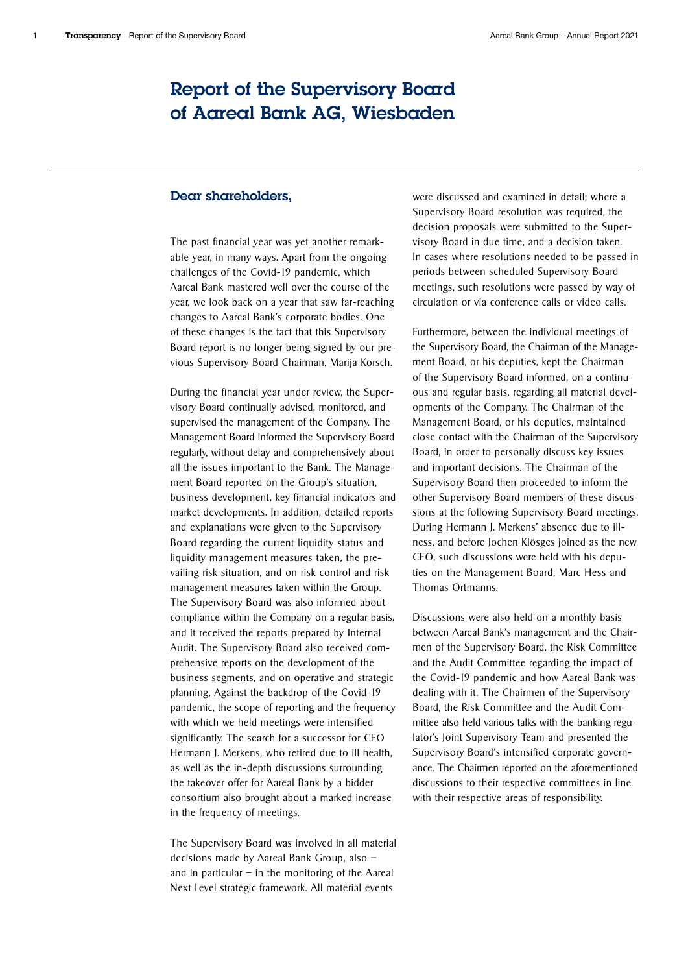# Report of the Supervisory Board of Aareal Bank AG, Wiesbaden

# Dear shareholders,

The past financial year was yet another remarkable year, in many ways. Apart from the ongoing challenges of the Covid-19 pandemic, which Aareal Bank mastered well over the course of the year, we look back on a year that saw far-reaching changes to Aareal Bank's corporate bodies. One of these changes is the fact that this Supervisory Board report is no longer being signed by our previous Supervisory Board Chairman, Marija Korsch.

During the financial year under review, the Supervisory Board continually advised, monitored, and supervised the management of the Company. The Management Board informed the Supervisory Board regularly, without delay and comprehensively about all the issues important to the Bank. The Management Board reported on the Group's situation, business development, key financial indicators and market developments. In addition, detailed reports and explanations were given to the Supervisory Board regarding the current liquidity status and liquidity management measures taken, the prevailing risk situation, and on risk control and risk management measures taken within the Group. The Supervisory Board was also informed about compliance within the Company on a regular basis, and it received the reports prepared by Internal Audit. The Supervisory Board also received comprehensive reports on the development of the business segments, and on operative and strategic planning, Against the backdrop of the Covid-19 pandemic, the scope of reporting and the frequency with which we held meetings were intensified significantly. The search for a successor for CEO Hermann J. Merkens, who retired due to ill health, as well as the in-depth discussions surrounding the takeover offer for Aareal Bank by a bidder consortium also brought about a marked increase in the frequency of meetings.

The Supervisory Board was involved in all material decisions made by Aareal Bank Group, also – and in particular  $-$  in the monitoring of the Aareal Next Level strategic framework. All material events

were discussed and examined in detail; where a Supervisory Board resolution was required, the decision proposals were submitted to the Supervisory Board in due time, and a decision taken. In cases where resolutions needed to be passed in periods between scheduled Supervisory Board meetings, such resolutions were passed by way of circulation or via conference calls or video calls.

Furthermore, between the individual meetings of the Supervisory Board, the Chairman of the Management Board, or his deputies, kept the Chairman of the Supervisory Board informed, on a continuous and regular basis, regarding all material developments of the Company. The Chairman of the Management Board, or his deputies, maintained close contact with the Chairman of the Supervisory Board, in order to personally discuss key issues and important decisions. The Chairman of the Supervisory Board then proceeded to inform the other Supervisory Board members of these discussions at the following Supervisory Board meetings. During Hermann J. Merkens' absence due to illness, and before Jochen Klösges joined as the new CEO, such discussions were held with his deputies on the Management Board, Marc Hess and Thomas Ortmanns.

Discussions were also held on a monthly basis between Aareal Bank's management and the Chairmen of the Supervisory Board, the Risk Committee and the Audit Committee regarding the impact of the Covid-19 pandemic and how Aareal Bank was dealing with it. The Chairmen of the Supervisory Board, the Risk Committee and the Audit Committee also held various talks with the banking regulator's Joint Supervisory Team and presented the Supervisory Board's intensified corporate governance. The Chairmen reported on the aforementioned discussions to their respective committees in line with their respective areas of responsibility.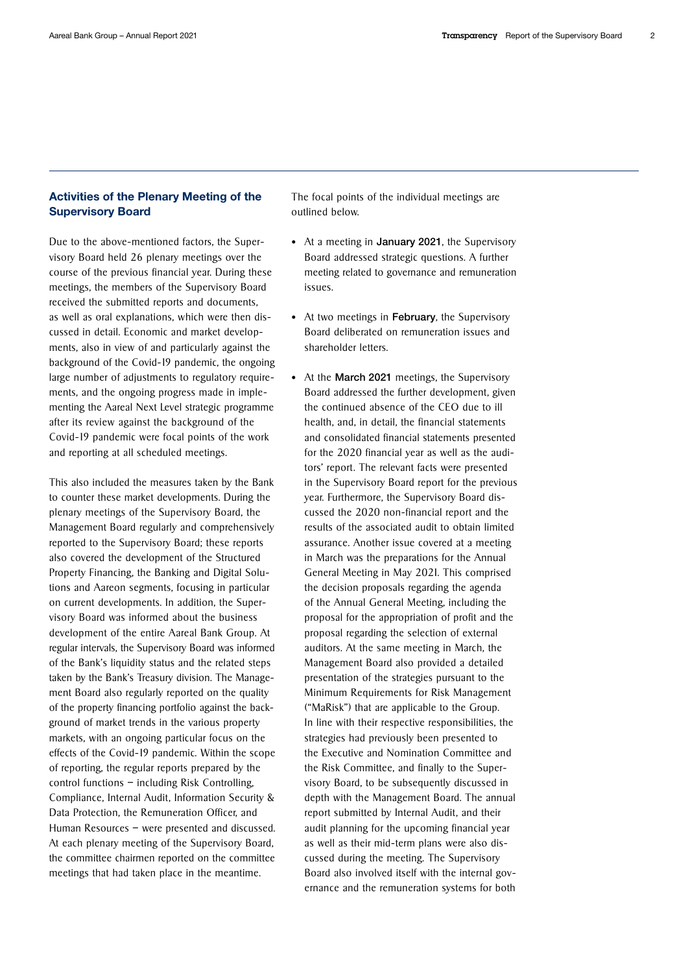# Activities of the Plenary Meeting of the Supervisory Board

Due to the above-mentioned factors, the Supervisory Board held 26 plenary meetings over the course of the previous financial year. During these meetings, the members of the Supervisory Board received the submitted reports and documents, as well as oral explanations, which were then discussed in detail. Economic and market developments, also in view of and particularly against the background of the Covid-19 pandemic, the ongoing large number of adjustments to regulatory requirements, and the ongoing progress made in implementing the Aareal Next Level strategic programme after its review against the background of the Covid-19 pandemic were focal points of the work and reporting at all scheduled meetings.

This also included the measures taken by the Bank to counter these market developments. During the plenary meetings of the Supervisory Board, the Management Board regularly and comprehensively reported to the Supervisory Board; these reports also covered the development of the Structured Property Financing, the Banking and Digital Solutions and Aareon segments, focusing in particular on current developments. In addition, the Supervisory Board was informed about the business development of the entire Aareal Bank Group. At regular intervals, the Supervisory Board was informed of the Bank's liquidity status and the related steps taken by the Bank's Treasury division. The Management Board also regularly reported on the quality of the property financing portfolio against the background of market trends in the various property markets, with an ongoing particular focus on the effects of the Covid-19 pandemic. Within the scope of reporting, the regular reports prepared by the control functions – including Risk Controlling, Compliance, Internal Audit, Information Security & Data Protection, the Remuneration Officer, and Human Resources – were presented and discussed. At each plenary meeting of the Supervisory Board, the committee chairmen reported on the committee meetings that had taken place in the meantime.

The focal points of the individual meetings are outlined below.

- At a meeting in January 2021, the Supervisory Board addressed strategic questions. A further meeting related to governance and remuneration issues.
- At two meetings in February, the Supervisory Board deliberated on remuneration issues and shareholder letters.
- At the March 2021 meetings, the Supervisory Board addressed the further development, given the continued absence of the CEO due to ill health, and, in detail, the financial statements and consolidated financial statements presented for the 2020 financial year as well as the auditors' report. The relevant facts were presented in the Supervisory Board report for the previous year. Furthermore, the Supervisory Board discussed the 2020 non-financial report and the results of the associated audit to obtain limited assurance. Another issue covered at a meeting in March was the preparations for the Annual General Meeting in May 2021. This comprised the decision proposals regarding the agenda of the Annual General Meeting, including the proposal for the appropriation of profit and the proposal regarding the selection of external auditors. At the same meeting in March, the Management Board also provided a detailed presentation of the strategies pursuant to the Minimum Requirements for Risk Management ("MaRisk") that are applicable to the Group. In line with their respective responsibilities, the strategies had previously been presented to the Executive and Nomination Committee and the Risk Committee, and finally to the Supervisory Board, to be subsequently discussed in depth with the Management Board. The annual report submitted by Internal Audit, and their audit planning for the upcoming financial year as well as their mid-term plans were also discussed during the meeting. The Supervisory Board also involved itself with the internal governance and the remuneration systems for both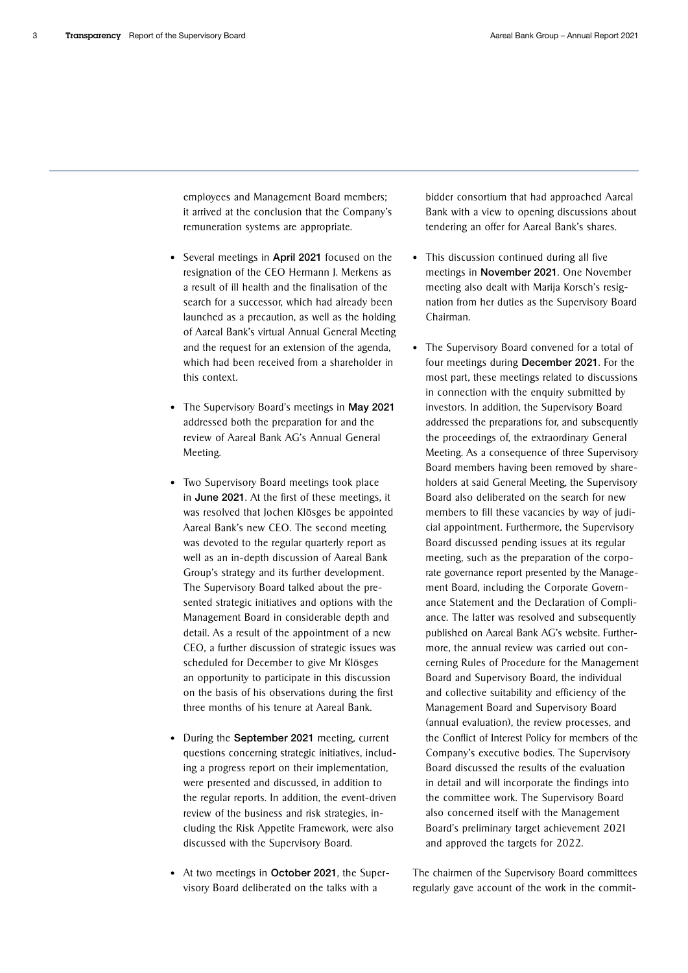employees and Management Board members; it arrived at the conclusion that the Company's remuneration systems are appropriate.

- Several meetings in April 2021 focused on the resignation of the CEO Hermann J. Merkens as a result of ill health and the finalisation of the search for a successor, which had already been launched as a precaution, as well as the holding of Aareal Bank's virtual Annual General Meeting and the request for an extension of the agenda, which had been received from a shareholder in this context.
- The Supervisory Board's meetings in May 2021 addressed both the preparation for and the review of Aareal Bank AG's Annual General Meeting.
- Two Supervisory Board meetings took place in June 2021. At the first of these meetings, it was resolved that Jochen Klösges be appointed Aareal Bank's new CEO. The second meeting was devoted to the regular quarterly report as well as an in-depth discussion of Aareal Bank Group's strategy and its further development. The Supervisory Board talked about the presented strategic initiatives and options with the Management Board in considerable depth and detail. As a result of the appointment of a new CEO, a further discussion of strategic issues was scheduled for December to give Mr Klösges an opportunity to participate in this discussion on the basis of his observations during the first three months of his tenure at Aareal Bank.
- During the September 2021 meeting, current questions concerning strategic initiatives, including a progress report on their implementation, were presented and discussed, in addition to the regular reports. In addition, the event-driven review of the business and risk strategies, including the Risk Appetite Framework, were also discussed with the Supervisory Board.
- At two meetings in October 2021, the Supervisory Board deliberated on the talks with a

bidder consortium that had approached Aareal Bank with a view to opening discussions about tendering an offer for Aareal Bank's shares.

- This discussion continued during all five meetings in November 2021. One November meeting also dealt with Marija Korsch's resignation from her duties as the Supervisory Board Chairman.
- The Supervisory Board convened for a total of four meetings during December 2021. For the most part, these meetings related to discussions in connection with the enquiry submitted by investors. In addition, the Supervisory Board addressed the preparations for, and subsequently the proceedings of, the extraordinary General Meeting. As a consequence of three Supervisory Board members having been removed by shareholders at said General Meeting, the Supervisory Board also deliberated on the search for new members to fill these vacancies by way of judicial appointment. Furthermore, the Supervisory Board discussed pending issues at its regular meeting, such as the preparation of the corporate governance report presented by the Management Board, including the Corporate Governance Statement and the Declaration of Compliance. The latter was resolved and subsequently published on Aareal Bank AG's website. Furthermore, the annual review was carried out concerning Rules of Procedure for the Management Board and Supervisory Board, the individual and collective suitability and efficiency of the Management Board and Supervisory Board (annual evaluation), the review processes, and the Conflict of Interest Policy for members of the Company's executive bodies. The Supervisory Board discussed the results of the evaluation in detail and will incorporate the findings into the committee work. The Supervisory Board also concerned itself with the Management Board's preliminary target achievement 2021 and approved the targets for 2022.

The chairmen of the Supervisory Board committees regularly gave account of the work in the commit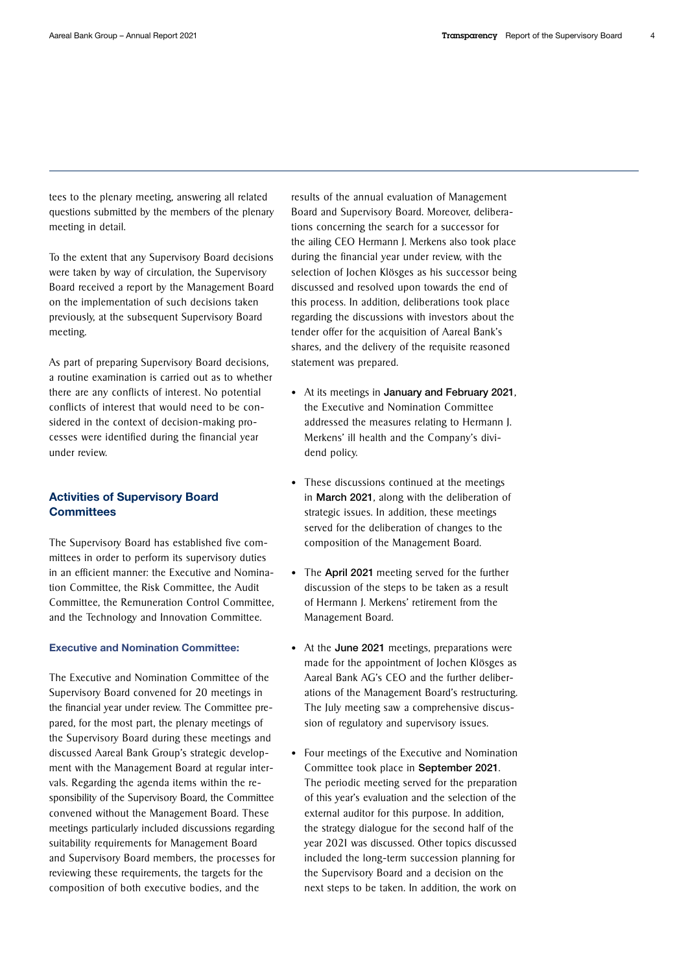tees to the plenary meeting, answering all related questions submitted by the members of the plenary meeting in detail.

To the extent that any Supervisory Board decisions were taken by way of circulation, the Supervisory Board received a report by the Management Board on the implementation of such decisions taken previously, at the subsequent Supervisory Board meeting.

As part of preparing Supervisory Board decisions, a routine examination is carried out as to whether there are any conflicts of interest. No potential conflicts of interest that would need to be considered in the context of decision-making processes were identified during the financial year under review.

## Activities of Supervisory Board **Committees**

The Supervisory Board has established five committees in order to perform its supervisory duties in an efficient manner: the Executive and Nomination Committee, the Risk Committee, the Audit Committee, the Remuneration Control Committee, and the Technology and Innovation Committee.

### Executive and Nomination Committee:

The Executive and Nomination Committee of the Supervisory Board convened for 20 meetings in the financial year under review. The Committee prepared, for the most part, the plenary meetings of the Supervisory Board during these meetings and discussed Aareal Bank Group's strategic development with the Management Board at regular intervals. Regarding the agenda items within the responsibility of the Supervisory Board, the Committee convened without the Management Board. These meetings particularly included discussions regarding suitability requirements for Management Board and Supervisory Board members, the processes for reviewing these requirements, the targets for the composition of both executive bodies, and the

results of the annual evaluation of Management Board and Supervisory Board. Moreover, deliberations concerning the search for a successor for the ailing CEO Hermann J. Merkens also took place during the financial year under review, with the selection of Jochen Klösges as his successor being discussed and resolved upon towards the end of this process. In addition, deliberations took place regarding the discussions with investors about the tender offer for the acquisition of Aareal Bank's shares, and the delivery of the requisite reasoned statement was prepared.

- At its meetings in January and February 2021, the Executive and Nomination Committee addressed the measures relating to Hermann J. Merkens' ill health and the Company's dividend policy.
- These discussions continued at the meetings in March 2021, along with the deliberation of strategic issues. In addition, these meetings served for the deliberation of changes to the composition of the Management Board.
- The April 2021 meeting served for the further discussion of the steps to be taken as a result of Hermann J. Merkens' retirement from the Management Board.
- At the June 2021 meetings, preparations were made for the appointment of Jochen Klösges as Aareal Bank AG's CEO and the further deliberations of the Management Board's restructuring. The July meeting saw a comprehensive discussion of regulatory and supervisory issues.
- Four meetings of the Executive and Nomination Committee took place in September 2021. The periodic meeting served for the preparation of this year's evaluation and the selection of the external auditor for this purpose. In addition, the strategy dialogue for the second half of the year 2021 was discussed. Other topics discussed included the long-term succession planning for the Supervisory Board and a decision on the next steps to be taken. In addition, the work on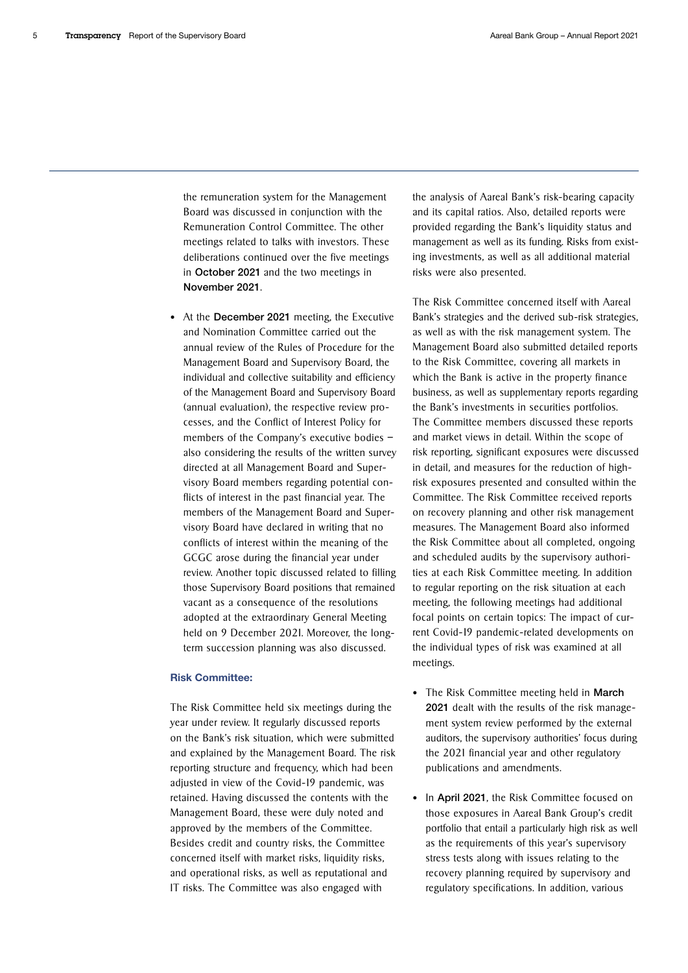the remuneration system for the Management Board was discussed in conjunction with the Remuneration Control Committee. The other meetings related to talks with investors. These deliberations continued over the five meetings in October 2021 and the two meetings in November 2021.

• At the December 2021 meeting, the Executive and Nomination Committee carried out the annual review of the Rules of Procedure for the Management Board and Supervisory Board, the individual and collective suitability and efficiency of the Management Board and Supervisory Board (annual evaluation), the respective review processes, and the Conflict of Interest Policy for members of the Company's executive bodies – also considering the results of the written survey directed at all Management Board and Supervisory Board members regarding potential conflicts of interest in the past financial year. The members of the Management Board and Supervisory Board have declared in writing that no conflicts of interest within the meaning of the GCGC arose during the financial year under review. Another topic discussed related to filling those Supervisory Board positions that remained vacant as a consequence of the resolutions adopted at the extraordinary General Meeting held on 9 December 2021. Moreover, the longterm succession planning was also discussed.

#### Risk Committee:

The Risk Committee held six meetings during the year under review. It regularly discussed reports on the Bank's risk situation, which were submitted and explained by the Management Board. The risk reporting structure and frequency, which had been adjusted in view of the Covid-19 pandemic, was retained. Having discussed the contents with the Management Board, these were duly noted and approved by the members of the Committee. Besides credit and country risks, the Committee concerned itself with market risks, liquidity risks, and operational risks, as well as reputational and IT risks. The Committee was also engaged with

the analysis of Aareal Bank's risk-bearing capacity and its capital ratios. Also, detailed reports were provided regarding the Bank's liquidity status and management as well as its funding. Risks from existing investments, as well as all additional material risks were also presented.

The Risk Committee concerned itself with Aareal Bank's strategies and the derived sub-risk strategies, as well as with the risk management system. The Management Board also submitted detailed reports to the Risk Committee, covering all markets in which the Bank is active in the property finance business, as well as supplementary reports regarding the Bank's investments in securities portfolios. The Committee members discussed these reports and market views in detail. Within the scope of risk reporting, significant exposures were discussed in detail, and measures for the reduction of highrisk exposures presented and consulted within the Committee. The Risk Committee received reports on recovery planning and other risk management measures. The Management Board also informed the Risk Committee about all completed, ongoing and scheduled audits by the supervisory authorities at each Risk Committee meeting. In addition to regular reporting on the risk situation at each meeting, the following meetings had additional focal points on certain topics: The impact of current Covid-19 pandemic-related developments on the individual types of risk was examined at all meetings.

- The Risk Committee meeting held in March 2021 dealt with the results of the risk management system review performed by the external auditors, the supervisory authorities' focus during the 2021 financial year and other regulatory publications and amendments.
- In April 2021, the Risk Committee focused on those exposures in Aareal Bank Group's credit portfolio that entail a particularly high risk as well as the requirements of this year's supervisory stress tests along with issues relating to the recovery planning required by supervisory and regulatory specifications. In addition, various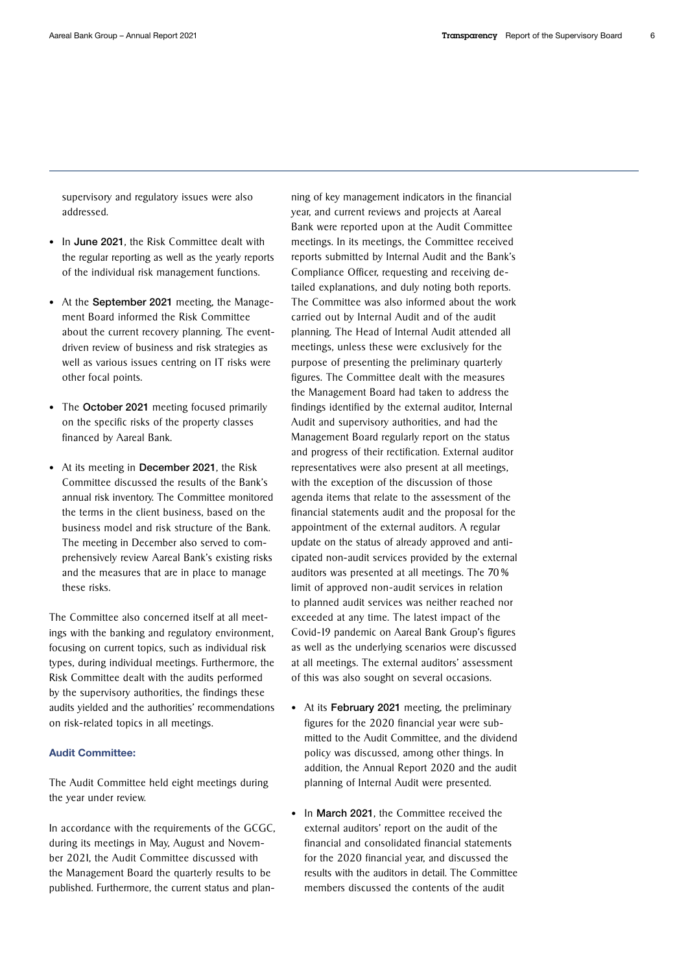supervisory and regulatory issues were also addressed.

- In June 2021, the Risk Committee dealt with the regular reporting as well as the yearly reports of the individual risk management functions.
- At the **September 2021** meeting, the Management Board informed the Risk Committee about the current recovery planning. The eventdriven review of business and risk strategies as well as various issues centring on IT risks were other focal points.
- The October 2021 meeting focused primarily on the specific risks of the property classes financed by Aareal Bank.
- At its meeting in December 2021, the Risk Committee discussed the results of the Bank's annual risk inventory. The Committee monitored the terms in the client business, based on the business model and risk structure of the Bank. The meeting in December also served to comprehensively review Aareal Bank's existing risks and the measures that are in place to manage these risks.

The Committee also concerned itself at all meetings with the banking and regulatory environment, focusing on current topics, such as individual risk types, during individual meetings. Furthermore, the Risk Committee dealt with the audits performed by the supervisory authorities, the findings these audits yielded and the authorities' recommendations on risk-related topics in all meetings.

## Audit Committee:

The Audit Committee held eight meetings during the year under review.

In accordance with the requirements of the GCGC, during its meetings in May, August and November 2021, the Audit Committee discussed with the Management Board the quarterly results to be published. Furthermore, the current status and planning of key management indicators in the financial year, and current reviews and projects at Aareal Bank were reported upon at the Audit Committee meetings. In its meetings, the Committee received reports submitted by Internal Audit and the Bank's Compliance Officer, requesting and receiving detailed explanations, and duly noting both reports. The Committee was also informed about the work carried out by Internal Audit and of the audit planning. The Head of Internal Audit attended all meetings, unless these were exclusively for the purpose of presenting the preliminary quarterly figures. The Committee dealt with the measures the Management Board had taken to address the findings identified by the external auditor, Internal Audit and supervisory authorities, and had the Management Board regularly report on the status and progress of their rectification. External auditor representatives were also present at all meetings, with the exception of the discussion of those agenda items that relate to the assessment of the financial statements audit and the proposal for the appointment of the external auditors. A regular update on the status of already approved and anticipated non-audit services provided by the external auditors was presented at all meetings. The 70 % limit of approved non-audit services in relation to planned audit services was neither reached nor exceeded at any time. The latest impact of the Covid-19 pandemic on Aareal Bank Group's figures as well as the underlying scenarios were discussed at all meetings. The external auditors' assessment of this was also sought on several occasions.

- At its February 2021 meeting, the preliminary figures for the 2020 financial year were submitted to the Audit Committee, and the dividend policy was discussed, among other things. In addition, the Annual Report 2020 and the audit planning of Internal Audit were presented.
- In March 2021, the Committee received the external auditors' report on the audit of the financial and consolidated financial statements for the 2020 financial year, and discussed the results with the auditors in detail. The Committee members discussed the contents of the audit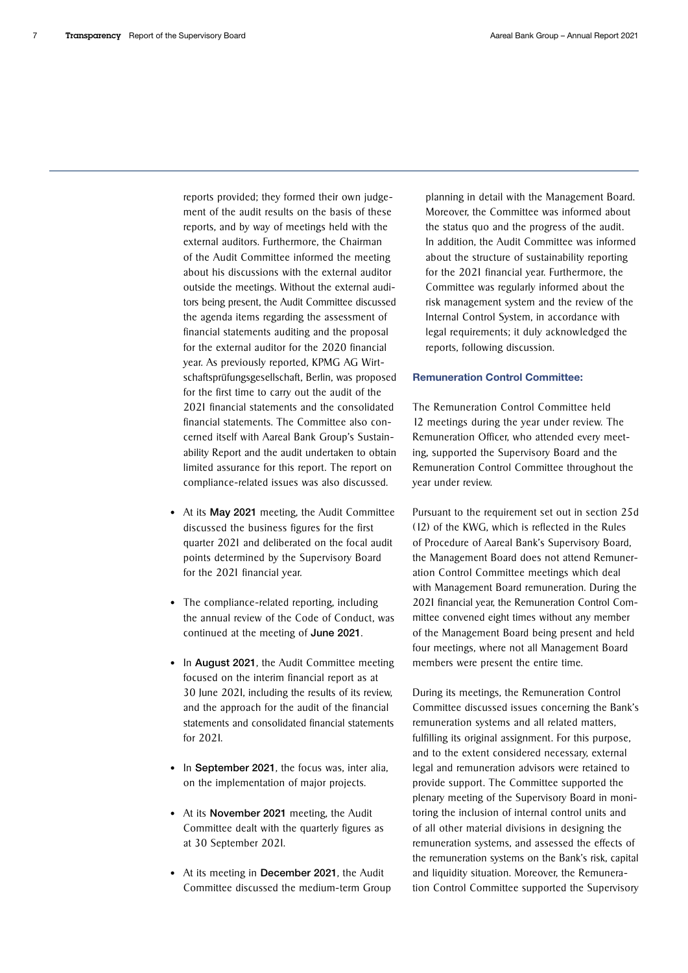reports provided; they formed their own judgement of the audit results on the basis of these reports, and by way of meetings held with the external auditors. Furthermore, the Chairman of the Audit Committee informed the meeting about his discussions with the external auditor outside the meetings. Without the external auditors being present, the Audit Committee discussed the agenda items regarding the assessment of financial statements auditing and the proposal for the external auditor for the 2020 financial year. As previously reported, KPMG AG Wirtschaftsprüfungsgesellschaft, Berlin, was proposed for the first time to carry out the audit of the 2021 financial statements and the consolidated financial statements. The Committee also concerned itself with Aareal Bank Group's Sustainability Report and the audit undertaken to obtain limited assurance for this report. The report on compliance-related issues was also discussed.

- At its May 2021 meeting, the Audit Committee discussed the business figures for the first quarter 2021 and deliberated on the focal audit points determined by the Supervisory Board for the 2021 financial year.
- The compliance-related reporting, including the annual review of the Code of Conduct, was continued at the meeting of June 2021.
- In August 2021, the Audit Committee meeting focused on the interim financial report as at 30 June 2021, including the results of its review, and the approach for the audit of the financial statements and consolidated financial statements for 2021.
- In September 2021, the focus was, inter alia, on the implementation of major projects.
- At its November 2021 meeting, the Audit Committee dealt with the quarterly figures as at 30 September 2021.
- At its meeting in December 2021, the Audit Committee discussed the medium-term Group

planning in detail with the Management Board. Moreover, the Committee was informed about the status quo and the progress of the audit. In addition, the Audit Committee was informed about the structure of sustainability reporting for the 2021 financial year. Furthermore, the Committee was regularly informed about the risk management system and the review of the Internal Control System, in accordance with legal requirements; it duly acknowledged the reports, following discussion.

## Remuneration Control Committee:

The Remuneration Control Committee held 12 meetings during the year under review. The Remuneration Officer, who attended every meeting, supported the Supervisory Board and the Remuneration Control Committee throughout the year under review.

Pursuant to the requirement set out in section 25d (12) of the KWG, which is reflected in the Rules of Procedure of Aareal Bank's Supervisory Board, the Management Board does not attend Remuneration Control Committee meetings which deal with Management Board remuneration. During the 2021 financial year, the Remuneration Control Committee convened eight times without any member of the Management Board being present and held four meetings, where not all Management Board members were present the entire time.

During its meetings, the Remuneration Control Committee discussed issues concerning the Bank's remuneration systems and all related matters, fulfilling its original assignment. For this purpose, and to the extent considered necessary, external legal and remuneration advisors were retained to provide support. The Committee supported the plenary meeting of the Supervisory Board in monitoring the inclusion of internal control units and of all other material divisions in designing the remuneration systems, and assessed the effects of the remuneration systems on the Bank's risk, capital and liquidity situation. Moreover, the Remuneration Control Committee supported the Supervisory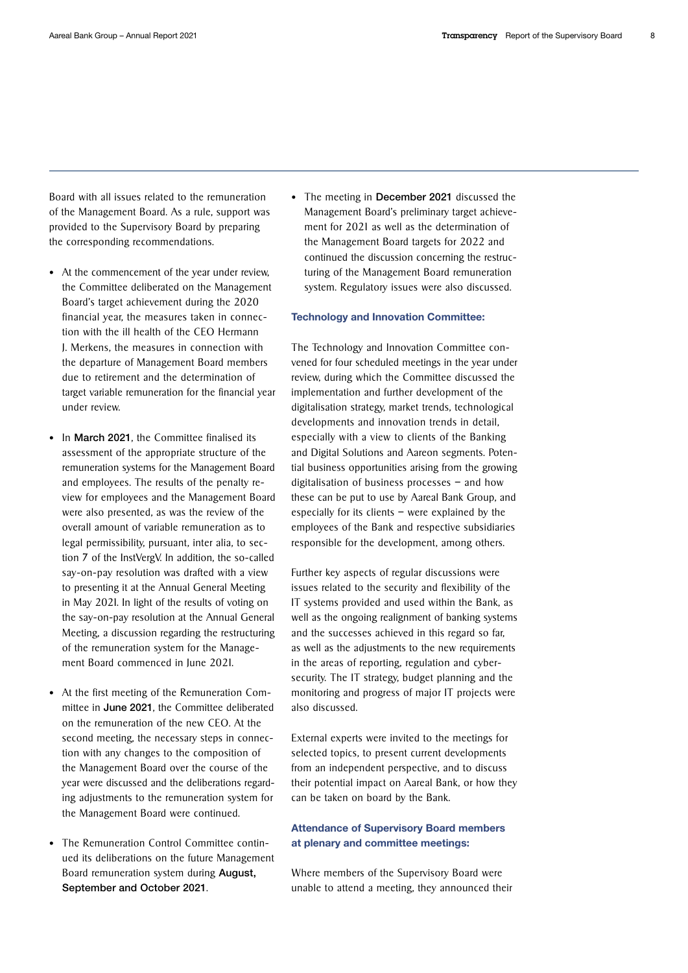Board with all issues related to the remuneration of the Management Board. As a rule, support was provided to the Supervisory Board by preparing the corresponding recommendations.

- At the commencement of the year under review, the Committee deliberated on the Management Board's target achievement during the 2020 financial year, the measures taken in connection with the ill health of the CEO Hermann J. Merkens, the measures in connection with the departure of Management Board members due to retirement and the determination of target variable remuneration for the financial year under review.
- In March 2021, the Committee finalised its assessment of the appropriate structure of the remuneration systems for the Management Board and employees. The results of the penalty review for employees and the Management Board were also presented, as was the review of the overall amount of variable remuneration as to legal permissibility, pursuant, inter alia, to section 7 of the InstVergV. In addition, the so-called say-on-pay resolution was drafted with a view to presenting it at the Annual General Meeting in May 2021. In light of the results of voting on the say-on-pay resolution at the Annual General Meeting, a discussion regarding the restructuring of the remuneration system for the Management Board commenced in June 2021.
- At the first meeting of the Remuneration Committee in June 2021, the Committee deliberated on the remuneration of the new CEO. At the second meeting, the necessary steps in connection with any changes to the composition of the Management Board over the course of the year were discussed and the deliberations regarding adjustments to the remuneration system for the Management Board were continued.
- The Remuneration Control Committee continued its deliberations on the future Management Board remuneration system during August, September and October 2021.

• The meeting in December 2021 discussed the Management Board's preliminary target achievement for 2021 as well as the determination of the Management Board targets for 2022 and continued the discussion concerning the restructuring of the Management Board remuneration system. Regulatory issues were also discussed.

#### Technology and Innovation Committee:

The Technology and Innovation Committee convened for four scheduled meetings in the year under review, during which the Committee discussed the implementation and further development of the digitalisation strategy, market trends, technological developments and innovation trends in detail, especially with a view to clients of the Banking and Digital Solutions and Aareon segments. Potential business opportunities arising from the growing digitalisation of business processes – and how these can be put to use by Aareal Bank Group, and especially for its clients – were explained by the employees of the Bank and respective subsidiaries responsible for the development, among others.

Further key aspects of regular discussions were issues related to the security and flexibility of the IT systems provided and used within the Bank, as well as the ongoing realignment of banking systems and the successes achieved in this regard so far, as well as the adjustments to the new requirements in the areas of reporting, regulation and cybersecurity. The IT strategy, budget planning and the monitoring and progress of major IT projects were also discussed.

External experts were invited to the meetings for selected topics, to present current developments from an independent perspective, and to discuss their potential impact on Aareal Bank, or how they can be taken on board by the Bank.

## Attendance of Supervisory Board members at plenary and committee meetings:

Where members of the Supervisory Board were unable to attend a meeting, they announced their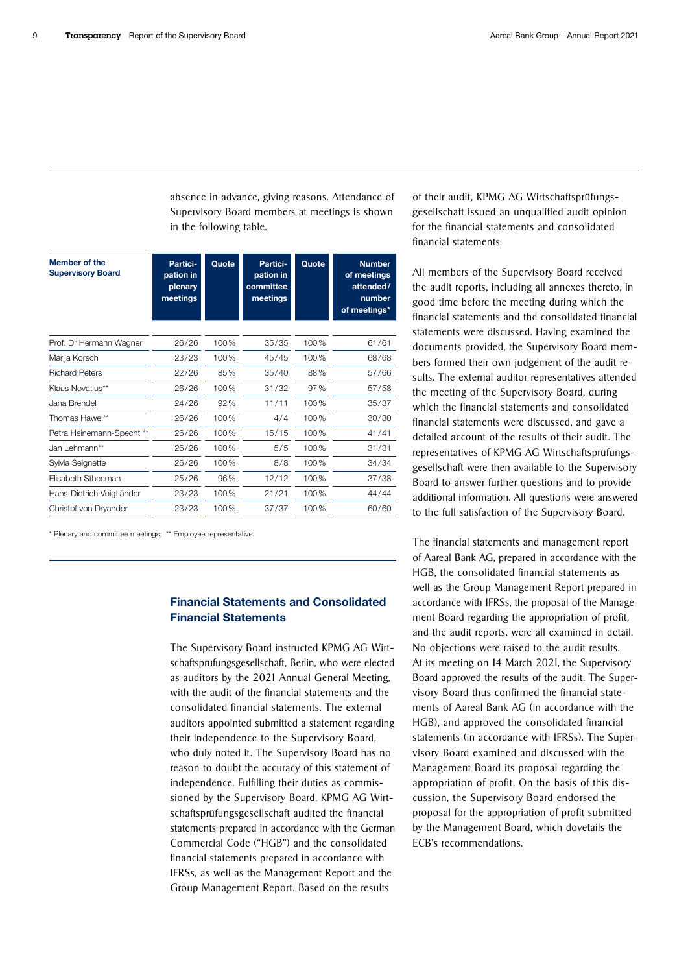absence in advance, giving reasons. Attendance of Supervisory Board members at meetings is shown in the following table.

| <b>Member of the</b><br><b>Supervisory Board</b> | Partici-<br>pation in<br>plenary<br>meetings | Quote | Partici-<br>pation in<br>committee<br>meetings | Quote | <b>Number</b><br>of meetings<br>attended/<br>number<br>of meetings* |
|--------------------------------------------------|----------------------------------------------|-------|------------------------------------------------|-------|---------------------------------------------------------------------|
| Prof. Dr Hermann Wagner                          | 26/26                                        | 100%  | 35/35                                          | 100%  | 61/61                                                               |
| Marija Korsch                                    | 23/23                                        | 100%  | 45/45                                          | 100%  | 68/68                                                               |
| <b>Richard Peters</b>                            | 22/26                                        | 85%   | 35/40                                          | 88%   | 57/66                                                               |
| Klaus Novatius**                                 | 26/26                                        | 100%  | 31/32                                          | 97%   | 57/58                                                               |
| Jana Brendel                                     | 24/26                                        | 92%   | 11/11                                          | 100%  | 35/37                                                               |
| Thomas Hawel**                                   | 26/26                                        | 100%  | 4/4                                            | 100%  | 30/30                                                               |
| Petra Heinemann-Specht **                        | 26/26                                        | 100%  | 15/15                                          | 100%  | 41/41                                                               |
| Jan Lehmann**                                    | 26/26                                        | 100%  | 5/5                                            | 100%  | 31/31                                                               |
| Sylvia Seignette                                 | 26/26                                        | 100%  | 8/8                                            | 100%  | 34/34                                                               |
| Elisabeth Stheeman                               | 25/26                                        | 96%   | 12/12                                          | 100%  | 37/38                                                               |
| Hans-Dietrich Voigtländer                        | 23/23                                        | 100%  | 21/21                                          | 100%  | 44/44                                                               |
| Christof von Dryander                            | 23/23                                        | 100%  | 37/37                                          | 100%  | 60/60                                                               |

\* Plenary and committee meetings; \*\* Employee representative

## Financial Statements and Consolidated Financial Statements

The Supervisory Board instructed KPMG AG Wirtschaftsprüfungsgesellschaft, Berlin, who were elected as auditors by the 2021 Annual General Meeting, with the audit of the financial statements and the consolidated financial statements. The external auditors appointed submitted a statement regarding their independence to the Supervisory Board, who duly noted it. The Supervisory Board has no reason to doubt the accuracy of this statement of independence. Fulfilling their duties as commissioned by the Supervisory Board, KPMG AG Wirtschaftsprüfungsgesellschaft audited the financial statements prepared in accordance with the German Commercial Code ("HGB") and the consolidated financial statements prepared in accordance with IFRSs, as well as the Management Report and the Group Management Report. Based on the results

of their audit, KPMG AG Wirtschaftsprüfungsgesellschaft issued an unqualified audit opinion for the financial statements and consolidated financial statements.

All members of the Supervisory Board received the audit reports, including all annexes thereto, in good time before the meeting during which the financial statements and the consolidated financial statements were discussed. Having examined the documents provided, the Supervisory Board members formed their own judgement of the audit results. The external auditor representatives attended the meeting of the Supervisory Board, during which the financial statements and consolidated financial statements were discussed, and gave a detailed account of the results of their audit. The representatives of KPMG AG Wirtschaftsprüfungsgesellschaft were then available to the Supervisory Board to answer further questions and to provide additional information. All questions were answered to the full satisfaction of the Supervisory Board.

The financial statements and management report of Aareal Bank AG, prepared in accordance with the HGB, the consolidated financial statements as well as the Group Management Report prepared in accordance with IFRSs, the proposal of the Management Board regarding the appropriation of profit, and the audit reports, were all examined in detail. No objections were raised to the audit results. At its meeting on 14 March 2021, the Supervisory Board approved the results of the audit. The Supervisory Board thus confirmed the financial statements of Aareal Bank AG (in accordance with the HGB), and approved the consolidated financial statements (in accordance with IFRSs). The Supervisory Board examined and discussed with the Management Board its proposal regarding the appropriation of profit. On the basis of this discussion, the Supervisory Board endorsed the proposal for the appropriation of profit submitted by the Management Board, which dovetails the ECB's recommendations.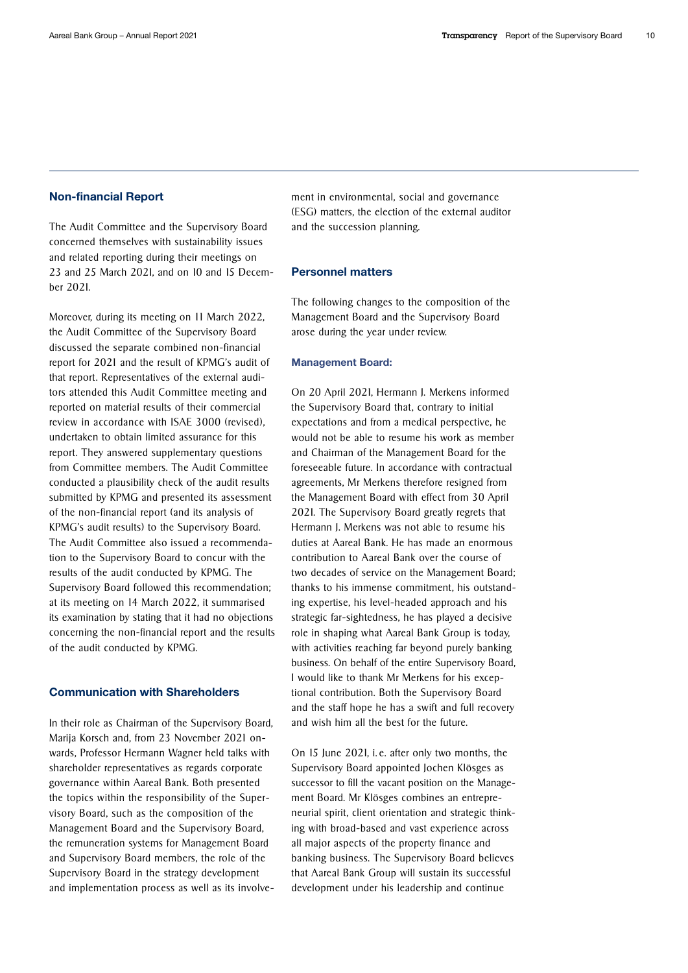#### Non-financial Report

The Audit Committee and the Supervisory Board concerned themselves with sustainability issues and related reporting during their meetings on 23 and 25 March 2021, and on 10 and 15 December 2021.

Moreover, during its meeting on 11 March 2022, the Audit Committee of the Supervisory Board discussed the separate combined non-financial report for 2021 and the result of KPMG's audit of that report. Representatives of the external auditors attended this Audit Committee meeting and reported on material results of their commercial review in accordance with ISAE 3000 (revised), undertaken to obtain limited assurance for this report. They answered supplementary questions from Committee members. The Audit Committee conducted a plausibility check of the audit results submitted by KPMG and presented its assessment of the non-financial report (and its analysis of KPMG's audit results) to the Supervisory Board. The Audit Committee also issued a recommendation to the Supervisory Board to concur with the results of the audit conducted by KPMG. The Supervisory Board followed this recommendation; at its meeting on 14 March 2022, it summarised its examination by stating that it had no objections concerning the non-financial report and the results of the audit conducted by KPMG.

#### Communication with Shareholders

In their role as Chairman of the Supervisory Board, Marija Korsch and, from 23 November 2021 onwards, Professor Hermann Wagner held talks with shareholder representatives as regards corporate governance within Aareal Bank. Both presented the topics within the responsibility of the Supervisory Board, such as the composition of the Management Board and the Supervisory Board, the remuneration systems for Management Board and Supervisory Board members, the role of the Supervisory Board in the strategy development and implementation process as well as its involvement in environmental, social and governance (ESG) matters, the election of the external auditor and the succession planning.

#### Personnel matters

The following changes to the composition of the Management Board and the Supervisory Board arose during the year under review.

#### Management Board:

On 20 April 2021, Hermann J. Merkens informed the Supervisory Board that, contrary to initial expectations and from a medical perspective, he would not be able to resume his work as member and Chairman of the Management Board for the foreseeable future. In accordance with contractual agreements, Mr Merkens therefore resigned from the Management Board with effect from 30 April 2021. The Supervisory Board greatly regrets that Hermann J. Merkens was not able to resume his duties at Aareal Bank. He has made an enormous contribution to Aareal Bank over the course of two decades of service on the Management Board; thanks to his immense commitment, his outstanding expertise, his level-headed approach and his strategic far-sightedness, he has played a decisive role in shaping what Aareal Bank Group is today, with activities reaching far beyond purely banking business. On behalf of the entire Supervisory Board, I would like to thank Mr Merkens for his exceptional contribution. Both the Supervisory Board and the staff hope he has a swift and full recovery and wish him all the best for the future.

On 15 June 2021, i. e. after only two months, the Supervisory Board appointed Jochen Klösges as successor to fill the vacant position on the Management Board. Mr Klösges combines an entrepreneurial spirit, client orientation and strategic thinking with broad-based and vast experience across all major aspects of the property finance and banking business. The Supervisory Board believes that Aareal Bank Group will sustain its successful development under his leadership and continue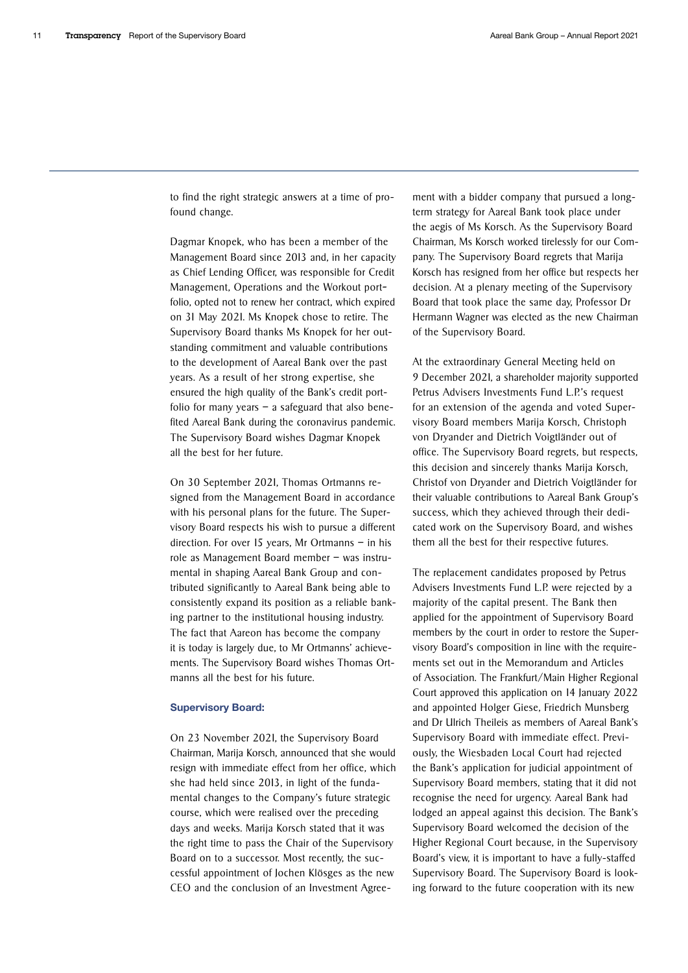to find the right strategic answers at a time of profound change.

Dagmar Knopek, who has been a member of the Management Board since 2013 and, in her capacity as Chief Lending Officer, was responsible for Credit Management, Operations and the Workout portfolio, opted not to renew her contract, which expired on 31 May 2021. Ms Knopek chose to retire. The Supervisory Board thanks Ms Knopek for her outstanding commitment and valuable contributions to the development of Aareal Bank over the past years. As a result of her strong expertise, she ensured the high quality of the Bank's credit portfolio for many years  $-$  a safeguard that also benefited Aareal Bank during the coronavirus pandemic. The Supervisory Board wishes Dagmar Knopek all the best for her future.

On 30 September 2021, Thomas Ortmanns resigned from the Management Board in accordance with his personal plans for the future. The Supervisory Board respects his wish to pursue a different direction. For over 15 years, Mr Ortmanns – in his role as Management Board member – was instrumental in shaping Aareal Bank Group and contributed significantly to Aareal Bank being able to consistently expand its position as a reliable banking partner to the institutional housing industry. The fact that Aareon has become the company it is today is largely due, to Mr Ortmanns' achievements. The Supervisory Board wishes Thomas Ortmanns all the best for his future.

#### Supervisory Board:

On 23 November 2021, the Supervisory Board Chairman, Marija Korsch, announced that she would resign with immediate effect from her office, which she had held since 2013, in light of the fundamental changes to the Company's future strategic course, which were realised over the preceding days and weeks. Marija Korsch stated that it was the right time to pass the Chair of the Supervisory Board on to a successor. Most recently, the successful appointment of Jochen Klösges as the new CEO and the conclusion of an Investment Agreement with a bidder company that pursued a longterm strategy for Aareal Bank took place under the aegis of Ms Korsch. As the Supervisory Board Chairman, Ms Korsch worked tirelessly for our Company. The Supervisory Board regrets that Marija Korsch has resigned from her office but respects her decision. At a plenary meeting of the Supervisory Board that took place the same day, Professor Dr Hermann Wagner was elected as the new Chairman of the Supervisory Board.

At the extraordinary General Meeting held on 9 December 2021, a shareholder majority supported Petrus Advisers Investments Fund L.P.'s request for an extension of the agenda and voted Supervisory Board members Marija Korsch, Christoph von Dryander and Dietrich Voigtländer out of office. The Supervisory Board regrets, but respects, this decision and sincerely thanks Marija Korsch, Christof von Dryander and Dietrich Voigtländer for their valuable contributions to Aareal Bank Group's success, which they achieved through their dedicated work on the Supervisory Board, and wishes them all the best for their respective futures.

The replacement candidates proposed by Petrus Advisers Investments Fund L.P. were rejected by a majority of the capital present. The Bank then applied for the appointment of Supervisory Board members by the court in order to restore the Supervisory Board's composition in line with the requirements set out in the Memorandum and Articles of Association. The Frankfurt/Main Higher Regional Court approved this application on 14 January 2022 and appointed Holger Giese, Friedrich Munsberg and Dr Ulrich Theileis as members of Aareal Bank's Supervisory Board with immediate effect. Previously, the Wiesbaden Local Court had rejected the Bank's application for judicial appointment of Supervisory Board members, stating that it did not recognise the need for urgency. Aareal Bank had lodged an appeal against this decision. The Bank's Supervisory Board welcomed the decision of the Higher Regional Court because, in the Supervisory Board's view, it is important to have a fully-staffed Supervisory Board. The Supervisory Board is looking forward to the future cooperation with its new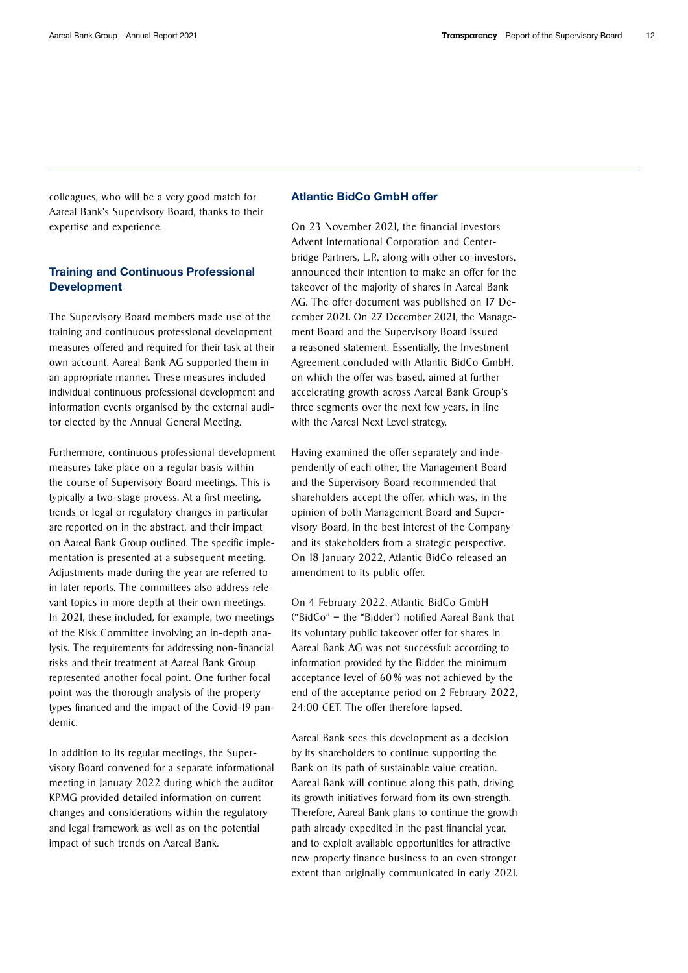colleagues, who will be a very good match for Aareal Bank's Supervisory Board, thanks to their expertise and experience.

## Training and Continuous Professional Development

The Supervisory Board members made use of the training and continuous professional development measures offered and required for their task at their own account. Aareal Bank AG supported them in an appropriate manner. These measures included individual continuous professional development and information events organised by the external auditor elected by the Annual General Meeting.

Furthermore, continuous professional development measures take place on a regular basis within the course of Supervisory Board meetings. This is typically a two-stage process. At a first meeting, trends or legal or regulatory changes in particular are reported on in the abstract, and their impact on Aareal Bank Group outlined. The specific implementation is presented at a subsequent meeting. Adjustments made during the year are referred to in later reports. The committees also address relevant topics in more depth at their own meetings. In 2021, these included, for example, two meetings of the Risk Committee involving an in-depth analysis. The requirements for addressing non-financial risks and their treatment at Aareal Bank Group represented another focal point. One further focal point was the thorough analysis of the property types financed and the impact of the Covid-19 pandemic.

In addition to its regular meetings, the Supervisory Board convened for a separate informational meeting in January 2022 during which the auditor KPMG provided detailed information on current changes and considerations within the regulatory and legal framework as well as on the potential impact of such trends on Aareal Bank.

# Atlantic BidCo GmbH offer

On 23 November 2021, the financial investors Advent International Corporation and Centerbridge Partners, L.P., along with other co-investors, announced their intention to make an offer for the takeover of the majority of shares in Aareal Bank AG. The offer document was published on 17 December 2021. On 27 December 2021, the Management Board and the Supervisory Board issued a reasoned statement. Essentially, the Investment Agreement concluded with Atlantic BidCo GmbH, on which the offer was based, aimed at further accelerating growth across Aareal Bank Group's three segments over the next few years, in line with the Aareal Next Level strategy.

Having examined the offer separately and independently of each other, the Management Board and the Supervisory Board recommended that shareholders accept the offer, which was, in the opinion of both Management Board and Supervisory Board, in the best interest of the Company and its stakeholders from a strategic perspective. On 18 January 2022, Atlantic BidCo released an amendment to its public offer.

On 4 February 2022, Atlantic BidCo GmbH ("BidCo" – the "Bidder") notified Aareal Bank that its voluntary public takeover offer for shares in Aareal Bank AG was not successful: according to information provided by the Bidder, the minimum acceptance level of 60 % was not achieved by the end of the acceptance period on 2 February 2022, 24:00 CET. The offer therefore lapsed.

Aareal Bank sees this development as a decision by its shareholders to continue supporting the Bank on its path of sustainable value creation. Aareal Bank will continue along this path, driving its growth initiatives forward from its own strength. Therefore, Aareal Bank plans to continue the growth path already expedited in the past financial year, and to exploit available opportunities for attractive new property finance business to an even stronger extent than originally communicated in early 2021.